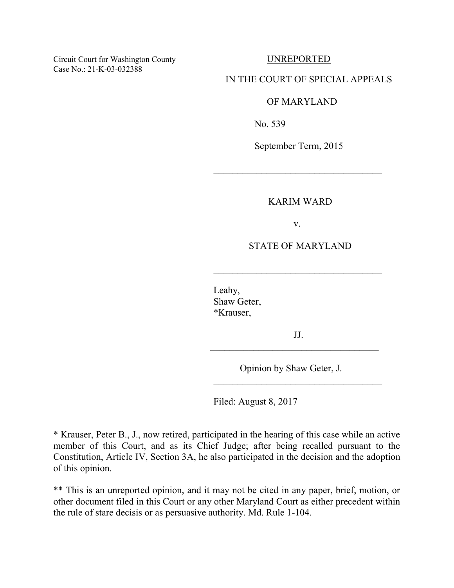Circuit Court for Washington County UNREPORTED Case No.: 21-K-03-032388

### IN THE COURT OF SPECIAL APPEALS

#### OF MARYLAND

No. 539

September Term, 2015

### KARIM WARD

v.

# STATE OF MARYLAND

 Leahy, Shaw Geter, \*Krauser,

 $\frac{1}{\sqrt{2}}$  ,  $\frac{1}{\sqrt{2}}$  ,  $\frac{1}{\sqrt{2}}$  ,  $\frac{1}{\sqrt{2}}$  ,  $\frac{1}{\sqrt{2}}$  ,  $\frac{1}{\sqrt{2}}$  ,  $\frac{1}{\sqrt{2}}$  ,  $\frac{1}{\sqrt{2}}$  ,  $\frac{1}{\sqrt{2}}$  ,  $\frac{1}{\sqrt{2}}$  ,  $\frac{1}{\sqrt{2}}$  ,  $\frac{1}{\sqrt{2}}$  ,  $\frac{1}{\sqrt{2}}$  ,  $\frac{1}{\sqrt{2}}$  ,  $\frac{1}{\sqrt{2}}$ 

 $\frac{1}{\sqrt{2}}$  ,  $\frac{1}{\sqrt{2}}$  ,  $\frac{1}{\sqrt{2}}$  ,  $\frac{1}{\sqrt{2}}$  ,  $\frac{1}{\sqrt{2}}$  ,  $\frac{1}{\sqrt{2}}$  ,  $\frac{1}{\sqrt{2}}$  ,  $\frac{1}{\sqrt{2}}$  ,  $\frac{1}{\sqrt{2}}$  ,  $\frac{1}{\sqrt{2}}$  ,  $\frac{1}{\sqrt{2}}$  ,  $\frac{1}{\sqrt{2}}$  ,  $\frac{1}{\sqrt{2}}$  ,  $\frac{1}{\sqrt{2}}$  ,  $\frac{1}{\sqrt{2}}$ 

 $\frac{1}{\sqrt{2}}$  ,  $\frac{1}{\sqrt{2}}$  ,  $\frac{1}{\sqrt{2}}$  ,  $\frac{1}{\sqrt{2}}$  ,  $\frac{1}{\sqrt{2}}$  ,  $\frac{1}{\sqrt{2}}$  ,  $\frac{1}{\sqrt{2}}$  ,  $\frac{1}{\sqrt{2}}$  ,  $\frac{1}{\sqrt{2}}$  ,  $\frac{1}{\sqrt{2}}$  ,  $\frac{1}{\sqrt{2}}$  ,  $\frac{1}{\sqrt{2}}$  ,  $\frac{1}{\sqrt{2}}$  ,  $\frac{1}{\sqrt{2}}$  ,  $\frac{1}{\sqrt{2}}$ 

 JJ. \_\_\_\_\_\_\_\_\_\_\_\_\_\_\_\_\_\_\_\_\_\_\_\_\_\_\_\_\_\_\_\_\_\_\_

Opinion by Shaw Geter, J.

Filed: August 8, 2017

\* Krauser, Peter B., J., now retired, participated in the hearing of this case while an active member of this Court, and as its Chief Judge; after being recalled pursuant to the Constitution, Article IV, Section 3A, he also participated in the decision and the adoption of this opinion.

\*\* This is an unreported opinion, and it may not be cited in any paper, brief, motion, or other document filed in this Court or any other Maryland Court as either precedent within the rule of stare decisis or as persuasive authority. Md. Rule 1-104.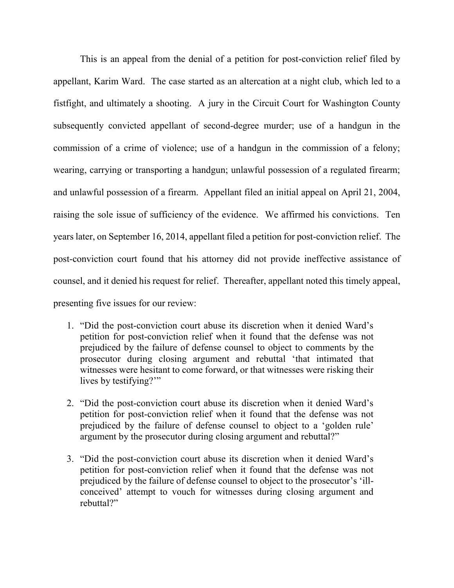This is an appeal from the denial of a petition for post-conviction relief filed by appellant, Karim Ward. The case started as an altercation at a night club, which led to a fistfight, and ultimately a shooting. A jury in the Circuit Court for Washington County subsequently convicted appellant of second-degree murder; use of a handgun in the commission of a crime of violence; use of a handgun in the commission of a felony; wearing, carrying or transporting a handgun; unlawful possession of a regulated firearm; and unlawful possession of a firearm. Appellant filed an initial appeal on April 21, 2004, raising the sole issue of sufficiency of the evidence. We affirmed his convictions. Ten years later, on September 16, 2014, appellant filed a petition for post-conviction relief. The post-conviction court found that his attorney did not provide ineffective assistance of counsel, and it denied his request for relief. Thereafter, appellant noted this timely appeal, presenting five issues for our review:

- 1. "Did the post-conviction court abuse its discretion when it denied Ward's petition for post-conviction relief when it found that the defense was not prejudiced by the failure of defense counsel to object to comments by the prosecutor during closing argument and rebuttal 'that intimated that witnesses were hesitant to come forward, or that witnesses were risking their lives by testifying?'"
- 2. "Did the post-conviction court abuse its discretion when it denied Ward's petition for post-conviction relief when it found that the defense was not prejudiced by the failure of defense counsel to object to a 'golden rule' argument by the prosecutor during closing argument and rebuttal?"
- 3. "Did the post-conviction court abuse its discretion when it denied Ward's petition for post-conviction relief when it found that the defense was not prejudiced by the failure of defense counsel to object to the prosecutor's 'illconceived' attempt to vouch for witnesses during closing argument and rebuttal?"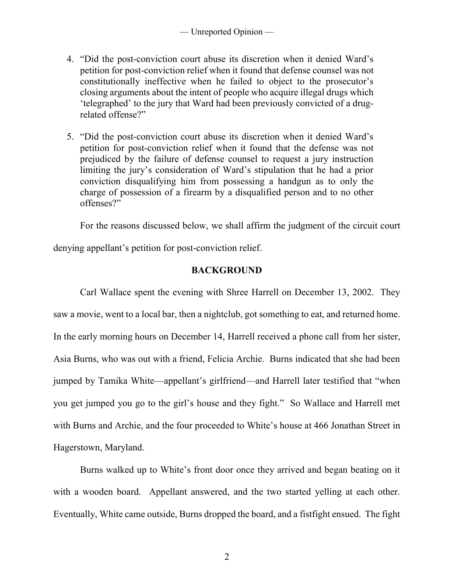- 4. "Did the post-conviction court abuse its discretion when it denied Ward's petition for post-conviction relief when it found that defense counsel was not constitutionally ineffective when he failed to object to the prosecutor's closing arguments about the intent of people who acquire illegal drugs which 'telegraphed' to the jury that Ward had been previously convicted of a drugrelated offense?"
- 5. "Did the post-conviction court abuse its discretion when it denied Ward's petition for post-conviction relief when it found that the defense was not prejudiced by the failure of defense counsel to request a jury instruction limiting the jury's consideration of Ward's stipulation that he had a prior conviction disqualifying him from possessing a handgun as to only the charge of possession of a firearm by a disqualified person and to no other offenses?"

For the reasons discussed below, we shall affirm the judgment of the circuit court

denying appellant's petition for post-conviction relief.

## **BACKGROUND**

Carl Wallace spent the evening with Shree Harrell on December 13, 2002. They saw a movie, went to a local bar, then a nightclub, got something to eat, and returned home. In the early morning hours on December 14, Harrell received a phone call from her sister, Asia Burns, who was out with a friend, Felicia Archie. Burns indicated that she had been jumped by Tamika White—appellant's girlfriend—and Harrell later testified that "when you get jumped you go to the girl's house and they fight." So Wallace and Harrell met with Burns and Archie, and the four proceeded to White's house at 466 Jonathan Street in Hagerstown, Maryland.

Burns walked up to White's front door once they arrived and began beating on it with a wooden board. Appellant answered, and the two started yelling at each other. Eventually, White came outside, Burns dropped the board, and a fistfight ensued. The fight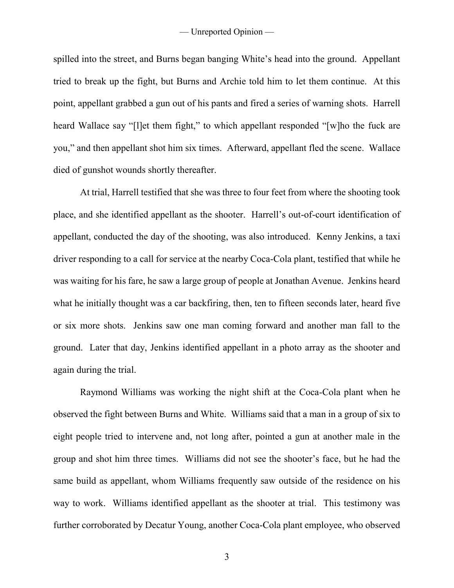spilled into the street, and Burns began banging White's head into the ground. Appellant tried to break up the fight, but Burns and Archie told him to let them continue. At this point, appellant grabbed a gun out of his pants and fired a series of warning shots. Harrell heard Wallace say "[l]et them fight," to which appellant responded "[w]ho the fuck are you," and then appellant shot him six times. Afterward, appellant fled the scene. Wallace died of gunshot wounds shortly thereafter.

At trial, Harrell testified that she was three to four feet from where the shooting took place, and she identified appellant as the shooter. Harrell's out-of-court identification of appellant, conducted the day of the shooting, was also introduced. Kenny Jenkins, a taxi driver responding to a call for service at the nearby Coca-Cola plant, testified that while he was waiting for his fare, he saw a large group of people at Jonathan Avenue. Jenkins heard what he initially thought was a car backfiring, then, ten to fifteen seconds later, heard five or six more shots. Jenkins saw one man coming forward and another man fall to the ground. Later that day, Jenkins identified appellant in a photo array as the shooter and again during the trial.

Raymond Williams was working the night shift at the Coca-Cola plant when he observed the fight between Burns and White. Williams said that a man in a group of six to eight people tried to intervene and, not long after, pointed a gun at another male in the group and shot him three times. Williams did not see the shooter's face, but he had the same build as appellant, whom Williams frequently saw outside of the residence on his way to work. Williams identified appellant as the shooter at trial. This testimony was further corroborated by Decatur Young, another Coca-Cola plant employee, who observed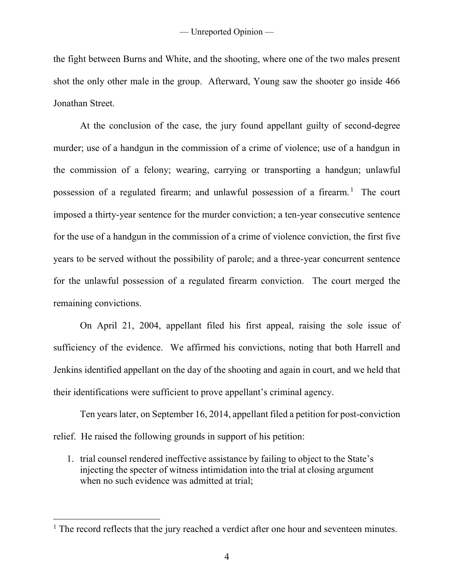the fight between Burns and White, and the shooting, where one of the two males present shot the only other male in the group. Afterward, Young saw the shooter go inside 466 Jonathan Street.

At the conclusion of the case, the jury found appellant guilty of second-degree murder; use of a handgun in the commission of a crime of violence; use of a handgun in the commission of a felony; wearing, carrying or transporting a handgun; unlawful possession of a regulated firearm; and unlawful possession of a firearm.<sup>1</sup> The court imposed a thirty-year sentence for the murder conviction; a ten-year consecutive sentence for the use of a handgun in the commission of a crime of violence conviction, the first five years to be served without the possibility of parole; and a three-year concurrent sentence for the unlawful possession of a regulated firearm conviction. The court merged the remaining convictions.

On April 21, 2004, appellant filed his first appeal, raising the sole issue of sufficiency of the evidence. We affirmed his convictions, noting that both Harrell and Jenkins identified appellant on the day of the shooting and again in court, and we held that their identifications were sufficient to prove appellant's criminal agency.

Ten years later, on September 16, 2014, appellant filed a petition for post-conviction relief. He raised the following grounds in support of his petition:

1. trial counsel rendered ineffective assistance by failing to object to the State's injecting the specter of witness intimidation into the trial at closing argument when no such evidence was admitted at trial;

 $\overline{a}$ 

 $<sup>1</sup>$  The record reflects that the jury reached a verdict after one hour and seventeen minutes.</sup>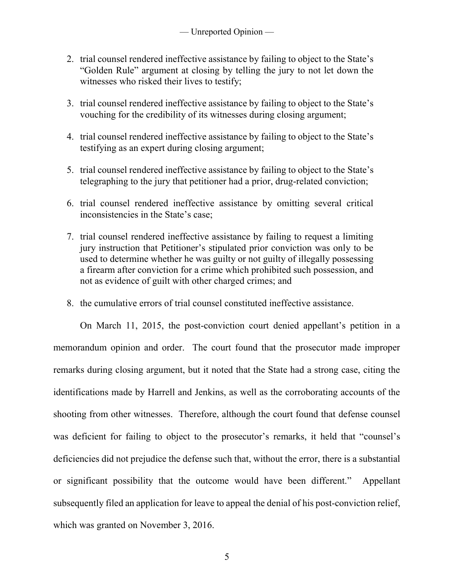- 2. trial counsel rendered ineffective assistance by failing to object to the State's "Golden Rule" argument at closing by telling the jury to not let down the witnesses who risked their lives to testify;
- 3. trial counsel rendered ineffective assistance by failing to object to the State's vouching for the credibility of its witnesses during closing argument;
- 4. trial counsel rendered ineffective assistance by failing to object to the State's testifying as an expert during closing argument;
- 5. trial counsel rendered ineffective assistance by failing to object to the State's telegraphing to the jury that petitioner had a prior, drug-related conviction;
- 6. trial counsel rendered ineffective assistance by omitting several critical inconsistencies in the State's case;
- 7. trial counsel rendered ineffective assistance by failing to request a limiting jury instruction that Petitioner's stipulated prior conviction was only to be used to determine whether he was guilty or not guilty of illegally possessing a firearm after conviction for a crime which prohibited such possession, and not as evidence of guilt with other charged crimes; and
- 8. the cumulative errors of trial counsel constituted ineffective assistance.

On March 11, 2015, the post-conviction court denied appellant's petition in a memorandum opinion and order. The court found that the prosecutor made improper remarks during closing argument, but it noted that the State had a strong case, citing the identifications made by Harrell and Jenkins, as well as the corroborating accounts of the shooting from other witnesses. Therefore, although the court found that defense counsel was deficient for failing to object to the prosecutor's remarks, it held that "counsel's deficiencies did not prejudice the defense such that, without the error, there is a substantial or significant possibility that the outcome would have been different." Appellant subsequently filed an application for leave to appeal the denial of his post-conviction relief, which was granted on November 3, 2016.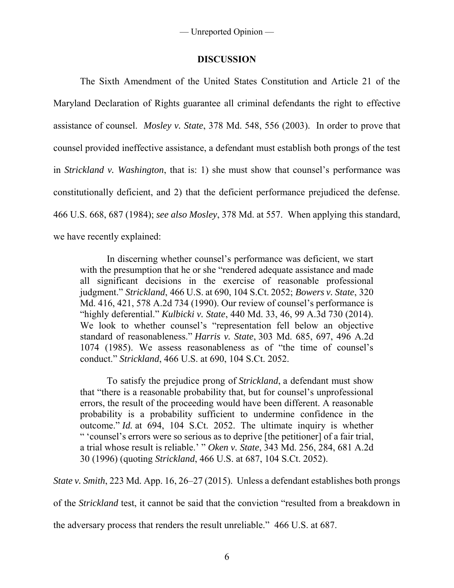# **DISCUSSION**

The Sixth Amendment of the United States Constitution and Article 21 of the Maryland Declaration of Rights guarantee all criminal defendants the right to effective assistance of counsel. *Mosley v. State*, 378 Md. 548, 556 (2003). In order to prove that counsel provided ineffective assistance, a defendant must establish both prongs of the test in *Strickland v. Washington*, that is: 1) she must show that counsel's performance was constitutionally deficient, and 2) that the deficient performance prejudiced the defense. 466 U.S. 668, 687 (1984); *see also Mosley*, 378 Md. at 557. When applying this standard, we have recently explained:

In discerning whether counsel's performance was deficient, we start with the presumption that he or she "rendered adequate assistance and made all significant decisions in the exercise of reasonable professional judgment." *Strickland*, 466 U.S. at 690, 104 S.Ct. 2052; *Bowers v. State*, 320 Md. 416, 421, 578 A.2d 734 (1990). Our review of counsel's performance is "highly deferential." *Kulbicki v. State*, 440 Md. 33, 46, 99 A.3d 730 (2014). We look to whether counsel's "representation fell below an objective standard of reasonableness." *Harris v. State*, 303 Md. 685, 697, 496 A.2d 1074 (1985). We assess reasonableness as of "the time of counsel's conduct." *Strickland*, 466 U.S. at 690, 104 S.Ct. 2052.

To satisfy the prejudice prong of *Strickland*, a defendant must show that "there is a reasonable probability that, but for counsel's unprofessional errors, the result of the proceeding would have been different. A reasonable probability is a probability sufficient to undermine confidence in the outcome." *Id.* at 694, 104 S.Ct. 2052. The ultimate inquiry is whether " 'counsel's errors were so serious as to deprive [the petitioner] of a fair trial, a trial whose result is reliable.' " *Oken v. State*, 343 Md. 256, 284, 681 A.2d 30 (1996) (quoting *Strickland*, 466 U.S. at 687, 104 S.Ct. 2052).

*State v. Smith*, 223 Md. App. 16, 26–27 (2015). Unless a defendant establishes both prongs

of the *Strickland* test, it cannot be said that the conviction "resulted from a breakdown in

the adversary process that renders the result unreliable." 466 U.S. at 687.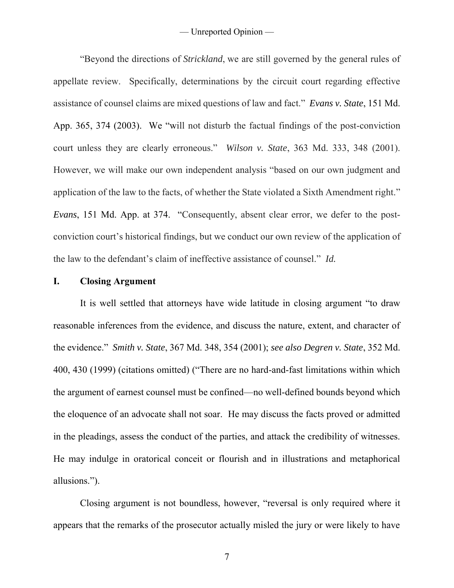"Beyond the directions of *Strickland*, we are still governed by the general rules of appellate review. Specifically, determinations by the circuit court regarding effective assistance of counsel claims are mixed questions of law and fact." *Evans v. State*, 151 Md. App. 365, 374 (2003). We "will not disturb the factual findings of the post-conviction court unless they are clearly erroneous." *Wilson v. State*, 363 Md. 333, 348 (2001). However, we will make our own independent analysis "based on our own judgment and application of the law to the facts, of whether the State violated a Sixth Amendment right." *Evans*, 151 Md. App. at 374. "Consequently, absent clear error, we defer to the postconviction court's historical findings, but we conduct our own review of the application of the law to the defendant's claim of ineffective assistance of counsel." *Id.*

#### **I. Closing Argument**

It is well settled that attorneys have wide latitude in closing argument "to draw reasonable inferences from the evidence, and discuss the nature, extent, and character of the evidence." *Smith v. State*, 367 Md. 348, 354 (2001); *see also Degren v. State*, 352 Md. 400, 430 (1999) (citations omitted) ("There are no hard-and-fast limitations within which the argument of earnest counsel must be confined—no well-defined bounds beyond which the eloquence of an advocate shall not soar. He may discuss the facts proved or admitted in the pleadings, assess the conduct of the parties, and attack the credibility of witnesses. He may indulge in oratorical conceit or flourish and in illustrations and metaphorical allusions.").

Closing argument is not boundless, however, "reversal is only required where it appears that the remarks of the prosecutor actually misled the jury or were likely to have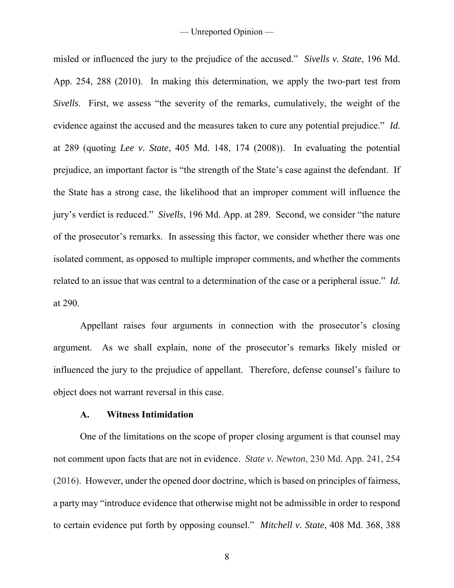misled or influenced the jury to the prejudice of the accused." *Sivells v. State*, 196 Md. App. 254, 288 (2010). In making this determination, we apply the two-part test from *Sivells*. First, we assess "the severity of the remarks, cumulatively, the weight of the evidence against the accused and the measures taken to cure any potential prejudice." *Id.* at 289 (quoting *Lee v. State*, 405 Md. 148, 174 (2008)). In evaluating the potential prejudice, an important factor is "the strength of the State's case against the defendant. If the State has a strong case, the likelihood that an improper comment will influence the jury's verdict is reduced." *Sivells*, 196 Md. App. at 289. Second, we consider "the nature of the prosecutor's remarks. In assessing this factor, we consider whether there was one isolated comment, as opposed to multiple improper comments, and whether the comments related to an issue that was central to a determination of the case or a peripheral issue." *Id.* at 290.

Appellant raises four arguments in connection with the prosecutor's closing argument. As we shall explain, none of the prosecutor's remarks likely misled or influenced the jury to the prejudice of appellant. Therefore, defense counsel's failure to object does not warrant reversal in this case.

### **A. Witness Intimidation**

One of the limitations on the scope of proper closing argument is that counsel may not comment upon facts that are not in evidence. *State v. Newton*, 230 Md. App. 241, 254 (2016). However, under the opened door doctrine, which is based on principles of fairness, a party may "introduce evidence that otherwise might not be admissible in order to respond to certain evidence put forth by opposing counsel." *Mitchell v. State*, 408 Md. 368, 388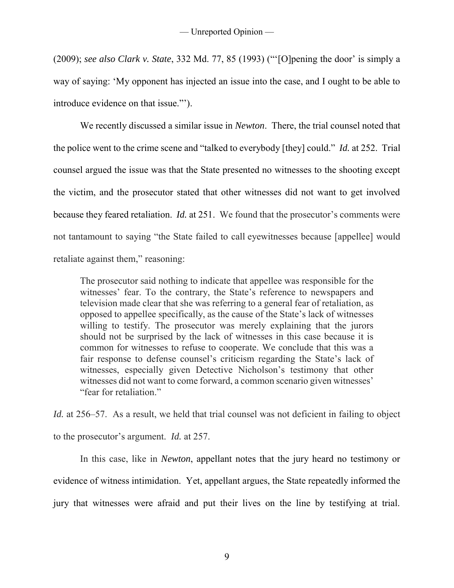(2009); *see also Clark v. State*, 332 Md. 77, 85 (1993) ("'[O]pening the door' is simply a way of saying: 'My opponent has injected an issue into the case, and I ought to be able to introduce evidence on that issue."').

We recently discussed a similar issue in *Newton*. There, the trial counsel noted that the police went to the crime scene and "talked to everybody [they] could." *Id.* at 252. Trial counsel argued the issue was that the State presented no witnesses to the shooting except the victim, and the prosecutor stated that other witnesses did not want to get involved because they feared retaliation. *Id.* at 251. We found that the prosecutor's comments were not tantamount to saying "the State failed to call eyewitnesses because [appellee] would retaliate against them," reasoning:

The prosecutor said nothing to indicate that appellee was responsible for the witnesses' fear. To the contrary, the State's reference to newspapers and television made clear that she was referring to a general fear of retaliation, as opposed to appellee specifically, as the cause of the State's lack of witnesses willing to testify. The prosecutor was merely explaining that the jurors should not be surprised by the lack of witnesses in this case because it is common for witnesses to refuse to cooperate. We conclude that this was a fair response to defense counsel's criticism regarding the State's lack of witnesses, especially given Detective Nicholson's testimony that other witnesses did not want to come forward, a common scenario given witnesses' "fear for retaliation."

*Id.* at 256–57. As a result, we held that trial counsel was not deficient in failing to object to the prosecutor's argument. *Id.* at 257.

 In this case, like in *Newton*, appellant notes that the jury heard no testimony or evidence of witness intimidation. Yet, appellant argues, the State repeatedly informed the jury that witnesses were afraid and put their lives on the line by testifying at trial.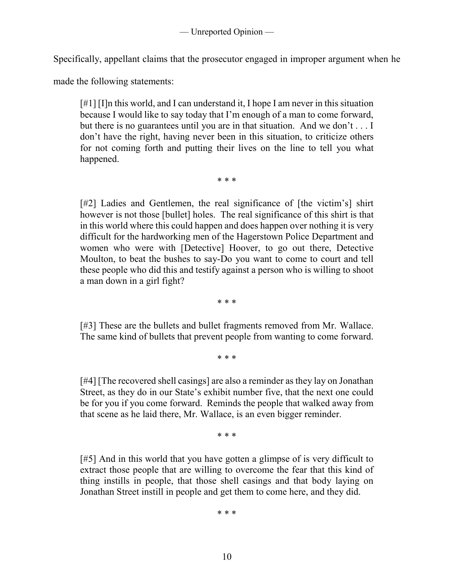Specifically, appellant claims that the prosecutor engaged in improper argument when he

made the following statements:

[#1] [I]n this world, and I can understand it, I hope I am never in this situation because I would like to say today that I'm enough of a man to come forward, but there is no guarantees until you are in that situation. And we don't . . . I don't have the right, having never been in this situation, to criticize others for not coming forth and putting their lives on the line to tell you what happened.

\* \* \*

[#2] Ladies and Gentlemen, the real significance of [the victim's] shirt however is not those [bullet] holes. The real significance of this shirt is that in this world where this could happen and does happen over nothing it is very difficult for the hardworking men of the Hagerstown Police Department and women who were with [Detective] Hoover, to go out there, Detective Moulton, to beat the bushes to say-Do you want to come to court and tell these people who did this and testify against a person who is willing to shoot a man down in a girl fight?

\* \* \*

[#3] These are the bullets and bullet fragments removed from Mr. Wallace. The same kind of bullets that prevent people from wanting to come forward.

\* \* \*

[#4] [The recovered shell casings] are also a reminder as they lay on Jonathan Street, as they do in our State's exhibit number five, that the next one could be for you if you come forward. Reminds the people that walked away from that scene as he laid there, Mr. Wallace, is an even bigger reminder.

\* \* \*

[#5] And in this world that you have gotten a glimpse of is very difficult to extract those people that are willing to overcome the fear that this kind of thing instills in people, that those shell casings and that body laying on Jonathan Street instill in people and get them to come here, and they did.

\* \* \*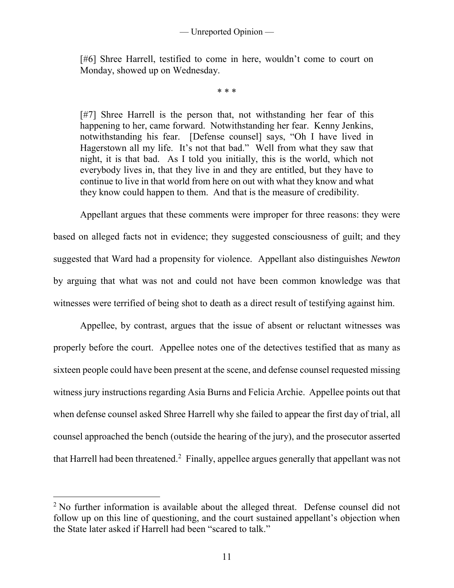[#6] Shree Harrell, testified to come in here, wouldn't come to court on Monday, showed up on Wednesday.

\* \* \*

[#7] Shree Harrell is the person that, not withstanding her fear of this happening to her, came forward. Notwithstanding her fear. Kenny Jenkins, notwithstanding his fear. [Defense counsel] says, "Oh I have lived in Hagerstown all my life. It's not that bad." Well from what they saw that night, it is that bad. As I told you initially, this is the world, which not everybody lives in, that they live in and they are entitled, but they have to continue to live in that world from here on out with what they know and what they know could happen to them. And that is the measure of credibility.

Appellant argues that these comments were improper for three reasons: they were based on alleged facts not in evidence; they suggested consciousness of guilt; and they suggested that Ward had a propensity for violence. Appellant also distinguishes *Newton* by arguing that what was not and could not have been common knowledge was that witnesses were terrified of being shot to death as a direct result of testifying against him.

Appellee, by contrast, argues that the issue of absent or reluctant witnesses was properly before the court. Appellee notes one of the detectives testified that as many as sixteen people could have been present at the scene, and defense counsel requested missing witness jury instructions regarding Asia Burns and Felicia Archie. Appellee points out that when defense counsel asked Shree Harrell why she failed to appear the first day of trial, all counsel approached the bench (outside the hearing of the jury), and the prosecutor asserted that Harrell had been threatened.<sup>2</sup> Finally, appellee argues generally that appellant was not

 $\overline{a}$ 

<sup>&</sup>lt;sup>2</sup> No further information is available about the alleged threat. Defense counsel did not follow up on this line of questioning, and the court sustained appellant's objection when the State later asked if Harrell had been "scared to talk."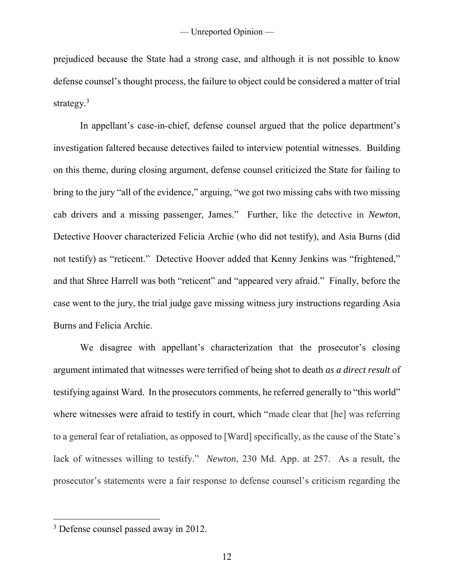prejudiced because the State had a strong case, and although it is not possible to know defense counsel's thought process, the failure to object could be considered a matter of trial strategy.<sup>3</sup>

 In appellant's case-in-chief, defense counsel argued that the police department's investigation faltered because detectives failed to interview potential witnesses. Building on this theme, during closing argument, defense counsel criticized the State for failing to bring to the jury "all of the evidence," arguing, "we got two missing cabs with two missing cab drivers and a missing passenger, James." Further, like the detective in *Newton*, Detective Hoover characterized Felicia Archie (who did not testify), and Asia Burns (did not testify) as "reticent." Detective Hoover added that Kenny Jenkins was "frightened," and that Shree Harrell was both "reticent" and "appeared very afraid." Finally, before the case went to the jury, the trial judge gave missing witness jury instructions regarding Asia Burns and Felicia Archie.

We disagree with appellant's characterization that the prosecutor's closing argument intimated that witnesses were terrified of being shot to death *as a direct result* of testifying against Ward. In the prosecutors comments, he referred generally to "this world" where witnesses were afraid to testify in court, which "made clear that [he] was referring to a general fear of retaliation, as opposed to [Ward] specifically, as the cause of the State's lack of witnesses willing to testify." *Newton*, 230 Md. App. at 257. As a result, the prosecutor's statements were a fair response to defense counsel's criticism regarding the

 $\overline{a}$ 

<sup>&</sup>lt;sup>3</sup> Defense counsel passed away in 2012.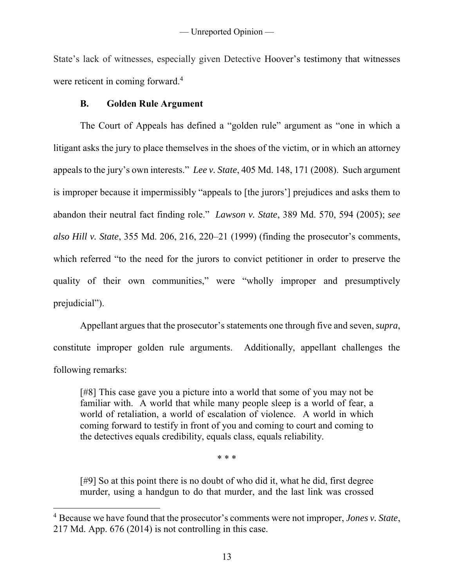State's lack of witnesses, especially given Detective Hoover's testimony that witnesses were reticent in coming forward.<sup>4</sup>

# **B. Golden Rule Argument**

 $\overline{a}$ 

The Court of Appeals has defined a "golden rule" argument as "one in which a litigant asks the jury to place themselves in the shoes of the victim, or in which an attorney appeals to the jury's own interests." *Lee v. State*, 405 Md. 148, 171 (2008). Such argument is improper because it impermissibly "appeals to [the jurors'] prejudices and asks them to abandon their neutral fact finding role." *Lawson v. State*, 389 Md. 570, 594 (2005); *see also Hill v. State*, 355 Md. 206, 216, 220–21 (1999) (finding the prosecutor's comments, which referred "to the need for the jurors to convict petitioner in order to preserve the quality of their own communities," were "wholly improper and presumptively prejudicial").

Appellant argues that the prosecutor's statements one through five and seven, *supra*, constitute improper golden rule arguments. Additionally, appellant challenges the following remarks:

[#8] This case gave you a picture into a world that some of you may not be familiar with. A world that while many people sleep is a world of fear, a world of retaliation, a world of escalation of violence. A world in which coming forward to testify in front of you and coming to court and coming to the detectives equals credibility, equals class, equals reliability.

\* \* \*

[#9] So at this point there is no doubt of who did it, what he did, first degree murder, using a handgun to do that murder, and the last link was crossed

<sup>4</sup> Because we have found that the prosecutor's comments were not improper, *Jones v. State*, 217 Md. App. 676 (2014) is not controlling in this case.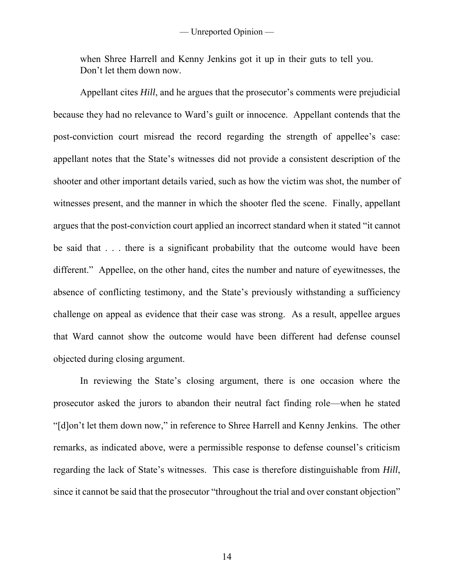when Shree Harrell and Kenny Jenkins got it up in their guts to tell you. Don't let them down now.

Appellant cites *Hill*, and he argues that the prosecutor's comments were prejudicial because they had no relevance to Ward's guilt or innocence. Appellant contends that the post-conviction court misread the record regarding the strength of appellee's case: appellant notes that the State's witnesses did not provide a consistent description of the shooter and other important details varied, such as how the victim was shot, the number of witnesses present, and the manner in which the shooter fled the scene. Finally, appellant argues that the post-conviction court applied an incorrect standard when it stated "it cannot be said that . . . there is a significant probability that the outcome would have been different." Appellee, on the other hand, cites the number and nature of eyewitnesses, the absence of conflicting testimony, and the State's previously withstanding a sufficiency challenge on appeal as evidence that their case was strong. As a result, appellee argues that Ward cannot show the outcome would have been different had defense counsel objected during closing argument.

 In reviewing the State's closing argument, there is one occasion where the prosecutor asked the jurors to abandon their neutral fact finding role—when he stated "[d]on't let them down now," in reference to Shree Harrell and Kenny Jenkins. The other remarks, as indicated above, were a permissible response to defense counsel's criticism regarding the lack of State's witnesses. This case is therefore distinguishable from *Hill*, since it cannot be said that the prosecutor "throughout the trial and over constant objection"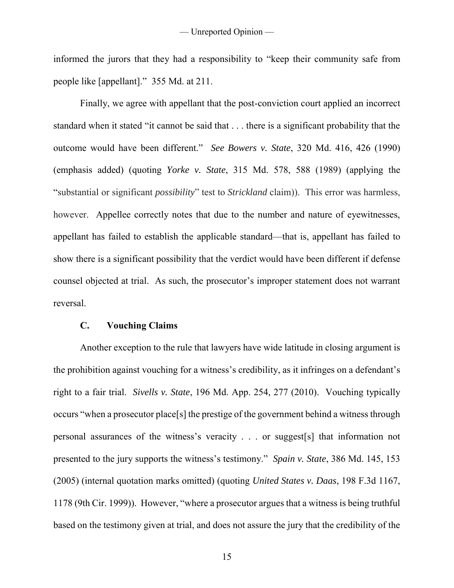informed the jurors that they had a responsibility to "keep their community safe from people like [appellant]." 355 Md. at 211.

Finally, we agree with appellant that the post-conviction court applied an incorrect standard when it stated "it cannot be said that . . . there is a significant probability that the outcome would have been different." *See Bowers v. State*, 320 Md. 416, 426 (1990) (emphasis added) (quoting *Yorke v. State*, 315 Md. 578, 588 (1989) (applying the "substantial or significant *possibility*" test to *Strickland* claim)). This error was harmless, however. Appellee correctly notes that due to the number and nature of eyewitnesses, appellant has failed to establish the applicable standard—that is, appellant has failed to show there is a significant possibility that the verdict would have been different if defense counsel objected at trial. As such, the prosecutor's improper statement does not warrant reversal.

#### **C. Vouching Claims**

Another exception to the rule that lawyers have wide latitude in closing argument is the prohibition against vouching for a witness's credibility, as it infringes on a defendant's right to a fair trial. *Sivells v. State*, 196 Md. App. 254, 277 (2010). Vouching typically occurs "when a prosecutor place[s] the prestige of the government behind a witness through personal assurances of the witness's veracity . . . or suggest[s] that information not presented to the jury supports the witness's testimony." *Spain v. State*, 386 Md. 145, 153 (2005) (internal quotation marks omitted) (quoting *United States v. Daas*, 198 F.3d 1167, 1178 (9th Cir. 1999)). However, "where a prosecutor argues that a witness is being truthful based on the testimony given at trial, and does not assure the jury that the credibility of the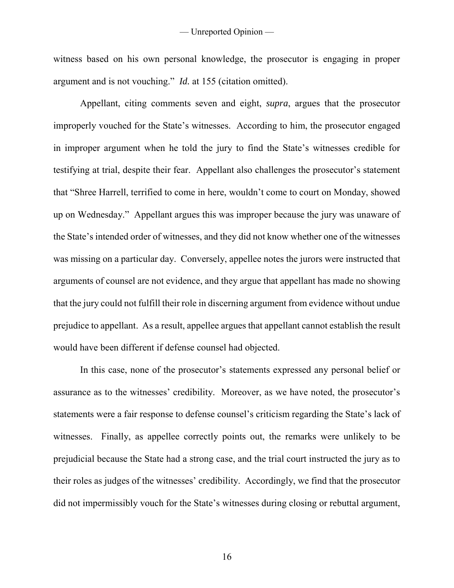witness based on his own personal knowledge, the prosecutor is engaging in proper argument and is not vouching." *Id.* at 155 (citation omitted).

Appellant, citing comments seven and eight, *supra*, argues that the prosecutor improperly vouched for the State's witnesses. According to him, the prosecutor engaged in improper argument when he told the jury to find the State's witnesses credible for testifying at trial, despite their fear. Appellant also challenges the prosecutor's statement that "Shree Harrell, terrified to come in here, wouldn't come to court on Monday, showed up on Wednesday." Appellant argues this was improper because the jury was unaware of the State's intended order of witnesses, and they did not know whether one of the witnesses was missing on a particular day. Conversely, appellee notes the jurors were instructed that arguments of counsel are not evidence, and they argue that appellant has made no showing that the jury could not fulfill their role in discerning argument from evidence without undue prejudice to appellant. As a result, appellee argues that appellant cannot establish the result would have been different if defense counsel had objected.

In this case, none of the prosecutor's statements expressed any personal belief or assurance as to the witnesses' credibility. Moreover, as we have noted, the prosecutor's statements were a fair response to defense counsel's criticism regarding the State's lack of witnesses. Finally, as appellee correctly points out, the remarks were unlikely to be prejudicial because the State had a strong case, and the trial court instructed the jury as to their roles as judges of the witnesses' credibility. Accordingly, we find that the prosecutor did not impermissibly vouch for the State's witnesses during closing or rebuttal argument,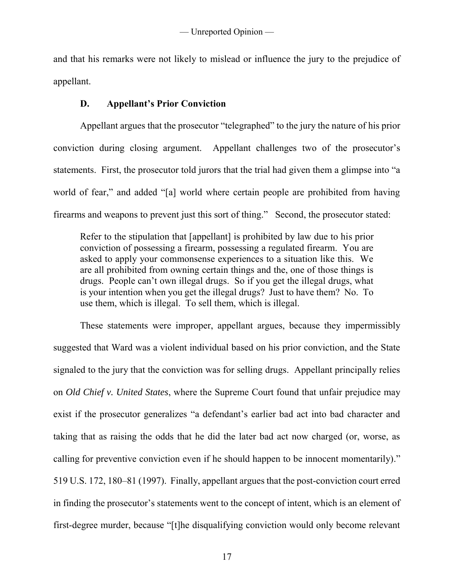and that his remarks were not likely to mislead or influence the jury to the prejudice of appellant.

# **D. Appellant's Prior Conviction**

Appellant argues that the prosecutor "telegraphed" to the jury the nature of his prior conviction during closing argument. Appellant challenges two of the prosecutor's statements. First, the prosecutor told jurors that the trial had given them a glimpse into "a world of fear," and added "[a] world where certain people are prohibited from having firearms and weapons to prevent just this sort of thing." Second, the prosecutor stated:

Refer to the stipulation that [appellant] is prohibited by law due to his prior conviction of possessing a firearm, possessing a regulated firearm. You are asked to apply your commonsense experiences to a situation like this. We are all prohibited from owning certain things and the, one of those things is drugs. People can't own illegal drugs. So if you get the illegal drugs, what is your intention when you get the illegal drugs? Just to have them? No. To use them, which is illegal. To sell them, which is illegal.

These statements were improper, appellant argues, because they impermissibly suggested that Ward was a violent individual based on his prior conviction, and the State signaled to the jury that the conviction was for selling drugs. Appellant principally relies on *Old Chief v. United States*, where the Supreme Court found that unfair prejudice may exist if the prosecutor generalizes "a defendant's earlier bad act into bad character and taking that as raising the odds that he did the later bad act now charged (or, worse, as calling for preventive conviction even if he should happen to be innocent momentarily)." 519 U.S. 172, 180–81 (1997). Finally, appellant argues that the post-conviction court erred in finding the prosecutor's statements went to the concept of intent, which is an element of first-degree murder, because "[t]he disqualifying conviction would only become relevant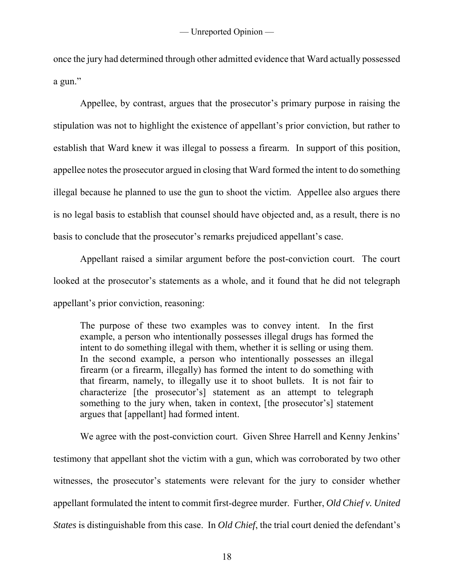once the jury had determined through other admitted evidence that Ward actually possessed a gun."

Appellee, by contrast, argues that the prosecutor's primary purpose in raising the stipulation was not to highlight the existence of appellant's prior conviction, but rather to establish that Ward knew it was illegal to possess a firearm. In support of this position, appellee notes the prosecutor argued in closing that Ward formed the intent to do something illegal because he planned to use the gun to shoot the victim. Appellee also argues there is no legal basis to establish that counsel should have objected and, as a result, there is no basis to conclude that the prosecutor's remarks prejudiced appellant's case.

Appellant raised a similar argument before the post-conviction court. The court looked at the prosecutor's statements as a whole, and it found that he did not telegraph appellant's prior conviction, reasoning:

The purpose of these two examples was to convey intent. In the first example, a person who intentionally possesses illegal drugs has formed the intent to do something illegal with them, whether it is selling or using them. In the second example, a person who intentionally possesses an illegal firearm (or a firearm, illegally) has formed the intent to do something with that firearm, namely, to illegally use it to shoot bullets. It is not fair to characterize [the prosecutor's] statement as an attempt to telegraph something to the jury when, taken in context, [the prosecutor's] statement argues that [appellant] had formed intent.

 We agree with the post-conviction court. Given Shree Harrell and Kenny Jenkins' testimony that appellant shot the victim with a gun, which was corroborated by two other witnesses, the prosecutor's statements were relevant for the jury to consider whether appellant formulated the intent to commit first-degree murder. Further, *Old Chief v. United States* is distinguishable from this case. In *Old Chief*, the trial court denied the defendant's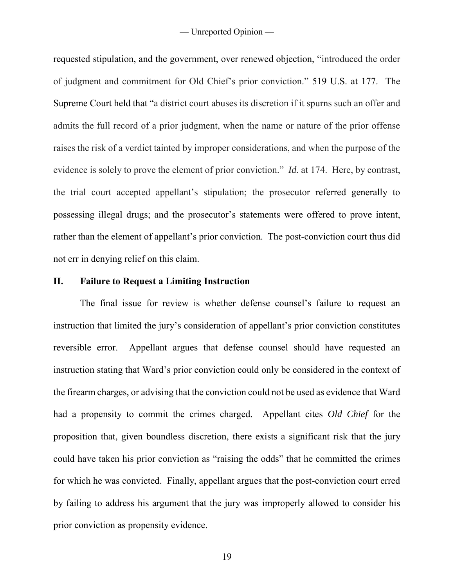requested stipulation, and the government, over renewed objection, "introduced the order of judgment and commitment for Old Chief's prior conviction." 519 U.S. at 177. The Supreme Court held that "a district court abuses its discretion if it spurns such an offer and admits the full record of a prior judgment, when the name or nature of the prior offense raises the risk of a verdict tainted by improper considerations, and when the purpose of the evidence is solely to prove the element of prior conviction." *Id.* at 174. Here, by contrast, the trial court accepted appellant's stipulation; the prosecutor referred generally to possessing illegal drugs; and the prosecutor's statements were offered to prove intent, rather than the element of appellant's prior conviction. The post-conviction court thus did not err in denying relief on this claim.

# **II. Failure to Request a Limiting Instruction**

The final issue for review is whether defense counsel's failure to request an instruction that limited the jury's consideration of appellant's prior conviction constitutes reversible error. Appellant argues that defense counsel should have requested an instruction stating that Ward's prior conviction could only be considered in the context of the firearm charges, or advising that the conviction could not be used as evidence that Ward had a propensity to commit the crimes charged. Appellant cites *Old Chief* for the proposition that, given boundless discretion, there exists a significant risk that the jury could have taken his prior conviction as "raising the odds" that he committed the crimes for which he was convicted. Finally, appellant argues that the post-conviction court erred by failing to address his argument that the jury was improperly allowed to consider his prior conviction as propensity evidence.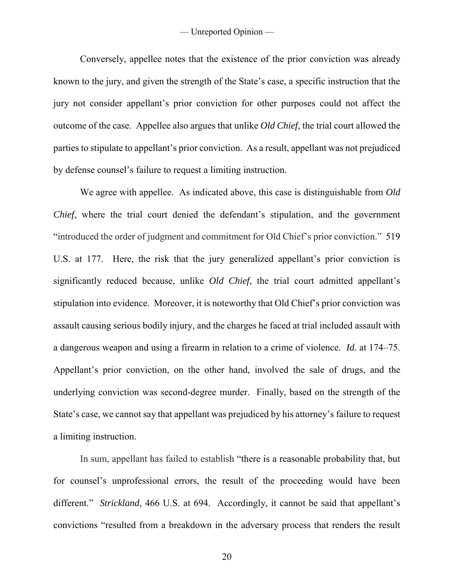Conversely, appellee notes that the existence of the prior conviction was already known to the jury, and given the strength of the State's case, a specific instruction that the jury not consider appellant's prior conviction for other purposes could not affect the outcome of the case. Appellee also argues that unlike *Old Chief*, the trial court allowed the parties to stipulate to appellant's prior conviction. As a result, appellant was not prejudiced by defense counsel's failure to request a limiting instruction.

We agree with appellee. As indicated above, this case is distinguishable from *Old Chief*, where the trial court denied the defendant's stipulation, and the government "introduced the order of judgment and commitment for Old Chief's prior conviction." 519 U.S. at 177. Here, the risk that the jury generalized appellant's prior conviction is significantly reduced because, unlike *Old Chief*, the trial court admitted appellant's stipulation into evidence. Moreover, it is noteworthy that Old Chief's prior conviction was assault causing serious bodily injury, and the charges he faced at trial included assault with a dangerous weapon and using a firearm in relation to a crime of violence. *Id.* at 174–75. Appellant's prior conviction, on the other hand, involved the sale of drugs, and the underlying conviction was second-degree murder. Finally, based on the strength of the State's case, we cannot say that appellant was prejudiced by his attorney's failure to request a limiting instruction.

In sum, appellant has failed to establish "there is a reasonable probability that, but for counsel's unprofessional errors, the result of the proceeding would have been different." *Strickland*, 466 U.S. at 694. Accordingly, it cannot be said that appellant's convictions "resulted from a breakdown in the adversary process that renders the result